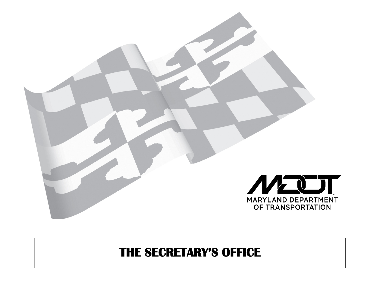

# **THE SECRETARY'S OFFICE**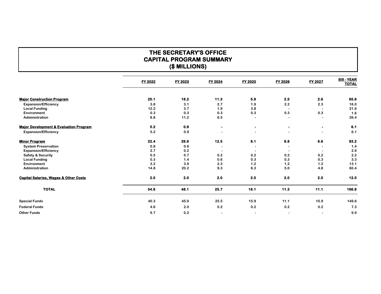## **THE SECRETARY'S OFFICE CAPITAL PROGRAM SUMMARY (\$ MILLIONS)**

|                                                   | <b>FY 2022</b> | <b>FY 2023</b> | <b>FY 2024</b> | FY 2025   | <b>FY 2026</b> | <b>FY 2027</b> | <b>SIX - YEAR</b><br><b>TOTAL</b> |
|---------------------------------------------------|----------------|----------------|----------------|-----------|----------------|----------------|-----------------------------------|
| <b>Major Construction Program</b>                 | 25.1           | 18.2           | 11.3           | 5.9       | 2.5            | 2.6            | 65.6                              |
| <b>Expansion/Efficiency</b>                       | 3.8            | 3.1            | 2.7            | 1.9       | 2.2            | 2.3            | 16.0                              |
| <b>Local Funding</b>                              | 12.2           | 3.7            | 1.9            | 3.8       |                |                | 21.6                              |
| Environment                                       | 0.3            | 0.3            | 0.3            | 0.3       | 0.3            | 0.3            | 1.6                               |
| Administration                                    | 8.8            | 11.2           | 6.5            |           |                |                | 26.4                              |
| <b>Major Development &amp; Evaluation Program</b> | 5.2            | 0.9            | $\bullet$      | $\bullet$ | $\blacksquare$ |                | 6.1                               |
| <b>Expansion/Efficiency</b>                       | 5.2            | 0.9            |                |           |                |                | 6.1                               |
| <b>Minor Program</b>                              | 22.4           | 26.9           | 12.5           | 8.1       | 6.8            | 6.6            | 83.2                              |
| <b>System Preservation</b>                        | 0.8            | 0.6            |                |           |                |                | 1.4                               |
| <b>Expansion/Efficiency</b>                       | 2.7            | 0.2            |                |           |                |                | 2.9                               |
| <b>Safety &amp; Security</b>                      | 0.5            | 0.7            | 0.2            | 0.2       | 0.2            | 0.2            | 2.2                               |
| <b>Local Funding</b>                              | 0.3            | 1.4            | 0.6            | 0.3       | 0.3            | 0.3            | 3.3                               |
| Environment                                       | 3.2            | 3.9            | 2.3            | 1.2       | 1.2            | 1.2            | 13.1                              |
| Administration                                    | 14.8           | 20.2           | 9.3            | 6.3       | 5.0            | 4.8            | 60.4                              |
| <b>Capital Salaries, Wages &amp; Other Costs</b>  | 2.0            | 2.0            | 2.0            | 2.0       | 2.0            | 2.0            | $12.0$                            |
| <b>TOTAL</b>                                      | 54.6           | 48.1           | 25.7           | 16.1      | 11.3           | 11.1           | 166.9                             |
| <b>Special Funds</b>                              | 40.3           | 45.9           | 25.5           | 15.9      | 11.1           | 10.9           | 149.6                             |
| <b>Federal Funds</b>                              | 4.6            | 2.0            | 0.2            | 0.2       | 0.2            | 0.2            | 7.3                               |
| <b>Other Funds</b>                                | 9.7            | 0.2            |                |           | $\blacksquare$ |                | 9.9                               |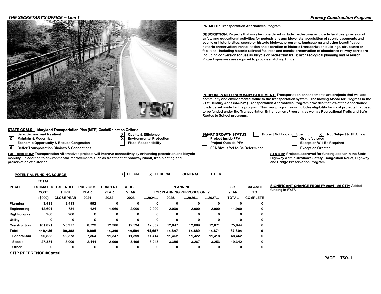#### **THE SECRETARY'S OFFICE -- Line 1 Primary Construction Program**



#### **STATE GOALS : Maryland Transportation Plan (MTP) Goals/Selection Criteria:**

- **Safe, Secure, and Resilient Case Cancer State State State Secure, and Resilient Case Specific to PFA Law Specific to PFA Laway Specifical Annual Specific to PFA Laway Specifical Annual Specifical Annual Specifical Annual**
- 
- **X** Maintain & Modernize<br> **X** Environmental Protection<br> **Example 20** Economic Opportunity & Reduce Congestion<br>
Piscal Responsibility **Economic Opportunity & Reduce Congestion**
- **X** Better Transportation Choices & Connections

**EXPLANATION: Transportation Alternatives projects will improve connectivity by enhancing pedestrian and bicycle mobility. In addition to environmental improvements such as treatment of roadway runoff, tree planting and** 

**X X**

**preservation of historical**

|                    | <b>POTENTIAL FUNDING SOURCE:</b> |                   |                 |                | x<br><b>SPECIAL</b> | хI                                | <b>FEDERAL</b> | <b>GENERAL</b>  | <b>OTHER</b> |              |                 |
|--------------------|----------------------------------|-------------------|-----------------|----------------|---------------------|-----------------------------------|----------------|-----------------|--------------|--------------|-----------------|
|                    | <b>TOTAL</b>                     |                   |                 |                |                     |                                   |                |                 |              |              |                 |
| <b>PHASE</b>       | <b>ESTIMATED</b>                 | <b>EXPENDED</b>   | <b>PREVIOUS</b> | <b>CURRENT</b> | <b>BUDGET</b>       |                                   |                | <b>PLANNING</b> |              | <b>SIX</b>   | <b>BALANCE</b>  |
|                    | COST                             | <b>THRU</b>       | <b>YEAR</b>     | <b>YEAR</b>    | <b>YEAR</b>         | <b>FOR PLANNING PURPOSES ONLY</b> |                |                 |              | <b>YEAR</b>  | то              |
|                    | (\$000)                          | <b>CLOSE YEAR</b> | 2021            | 2022           | 2023                | 2024                              | 2025           | 2026            | 2027         | <b>TOTAL</b> | <b>COMPLETE</b> |
| <b>Planning</b>    | 3,413                            | 3,413             | 952             | 0              | 0                   | 0                                 | 0              | 0               | 0            | 0            | 0               |
| Engineering        | 12,691                           | 731               | 124             | 1,960          | 2,000               | 2,000                             | 2,000          | 2,000           | 2,000        | 11,960       | 0               |
| Right-of-way       | 260                              | 260               | 0               | 0              | 0                   | 0                                 | 0              | 0               | 0            | 0            | 0               |
| Utility            | 0                                | 0                 | 0               | 0              | 0                   | 0                                 | 0              | 0               | 0            | 0            | 0               |
| Construction       | 101,821                          | 25,977            | 8,729           | 12,386         | 12,594              | 12,657                            | 12,847         | 12,689          | 12,671       | 75,844       | 0               |
| <b>Total</b>       | 118,186                          | 30,382            | 9,805           | 14,346         | 14,594              | 14,657                            | 14,847         | 14,689          | 14,671       | 87,804       | 0               |
| <b>Federal-Aid</b> | 90,835                           | 22,373            | 7,364           | 11,347         | 11,399              | 11,414                            | 11,462         | 11,422          | 11,418       | 68,462       | 0               |
| Special            | 27,351                           | 8,009             | 2,441           | 2,999          | 3,195               | 3,243                             | 3,385          | 3,267           | 3,253        | 19,342       | 0               |
| Other              | 0                                | 0                 | 0               | 0              | 0                   | 0                                 | 0              | 0               | 0            | 0            | 0               |

**STIP REFERENCE #State6**

- 
- 
- 

**PROJECT: Transportation Alternatives Program**

**DESCRIPTION: Projects that may be considered include: pedestrian or bicycle facilities; provision of safety and educational activities for pedestrians and bicyclists, acquisition of scenic easements and scenic or historic sites; scenic or historic highway programs; landscaping and other beautification; historic preservation; rehabilitation and operation of historic transportation buildings, structures or facilities - including historic railroad facilities and canals; preservation of abandoned railway corridors including conversion for use as bicycle or pedestrian trails; archaeological planning and research. Project sponsors are required to provide matching funds.**

**PURPOSE & NEED SUMMARY STATEMENT: Transportation enhancements are projects that will add community and environmental value to the transportation system. The Moving Ahead for Progress in the 21st Century Act's (MAP-21) Transportation Alternatives Program provides that 2% of the apportioned funds be set aside for the program. This new program now includes eligibility for most projects that used to be funded under the Transportation Enhancement Program, as well as Recreational Trails and Safe Routes to School programs.**

| <b>SMART GROWTH STATUS:</b><br><b>Project Not Location Specific</b> | <b>Not Subject to PFA Law</b>     |
|---------------------------------------------------------------------|-----------------------------------|
| <b>Project Inside PFA</b>                                           | Grandfathered                     |
| <b>Project Outside PFA-</b>                                         | <b>Exception Will Be Required</b> |
| <b>PFA Status Yet to Be Determined</b>                              | <b>Exception Granted</b>          |

**STATUS: Projects approved for funding appear in the State Highway Administration's Safety, Congestion Relief, Highway and Bridge Preservation Program.**

**BIGNIFICANT CHANGE FROM FY 2021 - 26 CTP: Added funding in FY27.**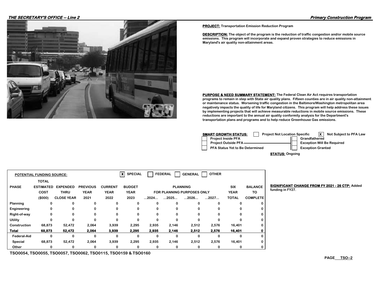#### **THE SECRETARY'S OFFICE -- Line 2 Primary Construction Program**



**PROJECT: Transportation Emission Reduction Program**

**DESCRIPTION: The object of the program is the reduction of traffic congestion and/or mobile source emissions. This program will incorporate and expand proven strategies to reduce emissions in Maryland's air quality non-attainment areas.**

**PURPOSE & NEED SUMMARY STATEMENT: The Federal Clean Air Act requires transportation programs to remain in step with State air quality plans. Fifteen counties are in air quality non-attainment or maintenance status. Worsening traffic congestion in the Baltimore/Washington metropolitan area negatively impacts the quality of life for Maryland citizens. This program will help address these issues by implementing projects that will achieve measurable reductions in mobile source emissions. These reductions are important to the annual air quality conformity analysis for the Department's transportation plans and programs and to help reduce Greenhouse Gas emissions.**

| <b>SMART GROWTH STATUS:</b><br><b>Project Not Location Specific</b> | Not Subject to PFA Law            |
|---------------------------------------------------------------------|-----------------------------------|
| <b>Project Inside PFA</b>                                           | Grandfathered                     |
| <b>Project Outside PFA-</b>                                         | <b>Exception Will Be Required</b> |
| <b>PFA Status Yet to Be Determined</b>                              | <b>Exception Granted</b>          |

**STATUS: Ongoing**

|              | <b>POTENTIAL FUNDING SOURCE:</b> |                   |                 |                | $\boldsymbol{\mathsf{x}}$<br><b>SPECIAL</b> |       | <b>FEDERAL</b> | <b>GENERAL</b>                    | <b>OTHER</b> |              |                 |
|--------------|----------------------------------|-------------------|-----------------|----------------|---------------------------------------------|-------|----------------|-----------------------------------|--------------|--------------|-----------------|
|              | <b>TOTAL</b>                     |                   |                 |                |                                             |       |                |                                   |              |              |                 |
| <b>PHASE</b> | <b>ESTIMATED</b>                 | <b>EXPENDED</b>   | <b>PREVIOUS</b> | <b>CURRENT</b> | <b>BUDGET</b>                               |       |                | <b>PLANNING</b>                   |              | <b>SIX</b>   | <b>BALANCE</b>  |
|              | <b>COST</b>                      | <b>THRU</b>       | <b>YEAR</b>     | <b>YEAR</b>    | <b>YEAR</b>                                 |       |                | <b>FOR PLANNING PURPOSES ONLY</b> |              | <b>YEAR</b>  | TO              |
|              | (\$000)                          | <b>CLOSE YEAR</b> | 2021            | 2022           | 2023                                        | 2024  | 2025           | 2026                              | 2027         | <b>TOTAL</b> | <b>COMPLETE</b> |
| Planning     | 0                                | 0                 | o               |                | 0                                           | 0     | 0              | 0                                 |              | ŋ            | 0               |
| Engineering  | $\Omega$                         | 0                 | 0               |                | 0                                           | 0     | 0              | 0                                 |              | 0            | 0               |
| Right-of-way | 0                                | 0                 | 0               |                | 0                                           | 0     | 0              | 0                                 |              | 0            | 0               |
| Utility      | $\Omega$                         | 0                 | $\Omega$        |                | 0                                           | 0     | 0              | 0                                 |              | ŋ            | 0               |
| Construction | 68,873                           | 52,472            | 2,064           | 3,939          | 2,295                                       | 2,935 | 2,146          | 2,512                             | 2,576        | 16,401       | 0               |
| <b>Total</b> | 68,873                           | 52,472            | 2,064           | 3,939          | 2,295                                       | 2,935 | 2,146          | 2,512                             | 2,576        | 16,401       | 0               |
| Federal-Aid  | 0                                | 0                 | 0               | $\Omega$       | 0                                           | 0     | 0              | 0                                 |              | <sup>0</sup> | 0               |
| Special      | 68,873                           | 52,472            | 2,064           | 3,939          | 2,295                                       | 2,935 | 2,146          | 2,512                             | 2,576        | 16,401       | 0               |
| Other        | 0                                | 0                 | 0               |                | 0                                           | 0     | 0              | 0                                 |              | 0            | 0               |

**BIGNIFICANT CHANGE FROM FY 2021 - 26 CTP: Added funding in FY27.**

**TSO0054, TSO0055, TSO0057, TSO0062, TSO0115, TSO0159 & TSO0160**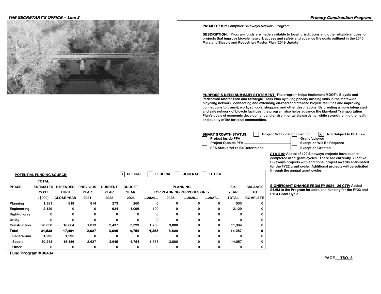#### **THE SECRETARY'S OFFICE -- Line 3 Primary Construction Program**



**PROJECT: Kim Lamphier Bikeways Network Program**

**DESCRIPTION: : Program funds are made available to local jurisdictions and other eligible entities for projects that improve bicycle network access and safety and advance the goals outlined in the 2040 Maryland Bicycle and Pedestrian Master Plan (2019 Update)**

**PURPOSE & NEED SUMMARY STATEMENT: The program helps implement MDOT's Bicycle and Pedestrian Master Plan and Strategic Trails Plan by filling priority missing links in the statewide bicycling network, connecting and extending on-road and off-road bicycle facilities and improving connections to transit, work, schools, shopping and other destinations. By creating a more integrated and safe network of bicycle facilities, the program also helps advance the Maryland Transportation Plan's goals of economic development and environmental stewardship, while strengthening the health and quality of life for local communities.**

| SMART GROWTH STATUS:<br><b>Project Not Location Specific</b> | Ix I<br>Not Subject to PFA Law    |  |
|--------------------------------------------------------------|-----------------------------------|--|
| <b>Project Inside PFA</b>                                    | Grandfathered                     |  |
| Project Outside PFA                                          | <b>Exception Will Be Required</b> |  |
| PFA Status Yet to Be Determined                              | <b>Exception Granted</b>          |  |

**STATUS: A total of 129 Bikeways projects have been in completed in 11 grant cycles. There are currently 30 active Bikeways projects with additional project awards anticipated for the FY22 grant cycle. Additional projects will be solicited through the annual grant cycles**

|                    | <b>POTENTIAL FUNDING SOURCE:</b> |                   |                 |                | $\boldsymbol{\mathsf{x}}$<br><b>SPECIAL</b> |       | <b>FEDERAL</b>                    | <b>GENERAL</b>  | <b>OTHER</b> |              |                 |
|--------------------|----------------------------------|-------------------|-----------------|----------------|---------------------------------------------|-------|-----------------------------------|-----------------|--------------|--------------|-----------------|
|                    | <b>TOTAL</b>                     |                   |                 |                |                                             |       |                                   |                 |              |              |                 |
| <b>PHASE</b>       | <b>ESTIMATED</b>                 | <b>EXPENDED</b>   | <b>PREVIOUS</b> | <b>CURRENT</b> | <b>BUDGET</b>                               |       |                                   | <b>PLANNING</b> |              | <b>SIX</b>   | <b>BALANCE</b>  |
|                    | <b>COST</b>                      | <b>THRU</b>       | <b>YEAR</b>     | <b>YEAR</b>    | <b>YEAR</b>                                 |       | <b>FOR PLANNING PURPOSES ONLY</b> |                 |              |              | TO              |
|                    | (\$000)                          | <b>CLOSE YEAR</b> | 2021            | 2022           | 2023                                        | 2024  | 2025                              | 2026            | 2027         | <b>TOTAL</b> | <b>COMPLETE</b> |
| Planning           | 1,351                            | 818               | 814             | 273            | 260                                         | 0     | 0                                 | 0               | 0            | 533          | 0               |
| Engineering        | 2,129                            | 0                 | 0               | 934            | 1,096                                       | 100   |                                   | 0               | 0            | 2,129        | 0               |
| Right-of-way       | 0                                | 0                 | 0               | 0              | $\Omega$                                    | 0     | 0                                 | $\Omega$        | 0            | $\Omega$     | 0               |
| <b>Utility</b>     | 0                                | 0                 | 0               | 0              | 0                                           | 0     | 0                                 | 0               | 0            | 0            | 0               |
| Construction       | 28,058                           | 16,664            | 1,813           | 2,437          | 3,399                                       | 1,758 | 3,800                             | 0               | 0            | 11.394       | 0               |
| <b>Total</b>       | 31,538                           | 17,481            | 2,627           | 3,645          | 4,754                                       | 1,858 | 3,800                             | 0               | 0            | 14,057       | 0               |
| <b>Federal-Aid</b> | 1,295                            | 1,295             | 0               | 0              | 0                                           | 0     | 0                                 | 0               | 0            | 0            | 0               |
| Special            | 30,243                           | 16,186            | 2,627           | 3,645          | 4,754                                       | 1,858 | 3,800                             | 0               | 0            | 14,057       | 0               |
| Other              | 0                                | 0                 | 0               | 0              | 0                                           | 0     | 0                                 | 0               | 0            | 0            | 0               |

**Fund Program # 00434**

**BIGNIFICANT CHANGE FROM FY 2021 - 26 CTP: Added** 

**\$4.6M to the Program for additional funding for the FY23 and**   $FY24$  Grant Cycle.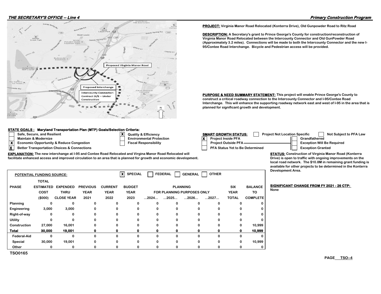

**EXPLANATION: The new interchange at I-95 and Contee Road Relocated and Virgina Manor Road Relocated will facilitate enhanced access and improved circulation to an area that is planned for growth and economic development.**

#### **STATE GOALS : Maryland Transportation Plan (MTP) Goals/Selection Criteria:**

- 
- 
- **X** Economic Opportunity & Reduce Congestion **Fig. 1** Fiscal Responsibility
- 

- **X**
- **Safe, Secure, and Resilient Conservant Conservant Conservant Conservant CROWTH STATUS: Project Not Location Specific Not Subject to PFA Law Maintain & Modernize Environmental Protection X** Project Inside PFA Grandfathered **X** Better Transportation Choices & Connections **PRA Status Yet to Be Determined** Exception Granted **PRA Status Yet to Be Determined Project Outside PFA Exception Will Be Required**

**PURPOSE & NEED SUMMARY STATEMENT: This project will enable Prince George's County to construct a critical roadway connection to the Intercounty Connector and I-95/Contee Road** 

**Interchange. This will enhance the supporting roadway network east and west of I-95 in the area that is** 

**PROJECT: Virginia Manor Road Relocated (Konterra Drive), Old Gunpowder Road to Ritz Road DESCRIPTION: A Secretary's grant to Prince George's County for construction/reconstruction of Virginia Manor Road Relocated between the Intercounty Connector and Old GunPowder Road (Approximately 3.2 miles). Connections will be made to both the Intercounty Connector and the new I-**

**95/Contee Road Interchange. Bicycle and Pedestrian access will be provided.**

**planned for significant growth and development.**

**STATUS: Construction of Virginia Manor Road (Konterra Drive) is open to traffic with ongoing improvements on the local road network. The \$10.8M in remaining grant funding is available for other projects to be determined in the Konterra Development Area.**

|                | <b>POTENTIAL FUNDING SOURCE:</b> |                   |                 |                | ×l<br><b>SPECIAL</b> |                      | <b>FEDERAL</b>                    | <b>GENERAL</b>       | <b>OTHER</b> |              |                 |
|----------------|----------------------------------|-------------------|-----------------|----------------|----------------------|----------------------|-----------------------------------|----------------------|--------------|--------------|-----------------|
|                | <b>TOTAL</b>                     |                   |                 |                |                      |                      |                                   |                      |              |              |                 |
| <b>PHASE</b>   | <b>ESTIMATED</b>                 | <b>EXPENDED</b>   | <b>PREVIOUS</b> | <b>CURRENT</b> | <b>BUDGET</b>        |                      |                                   | <b>PLANNING</b>      |              | SIX          | <b>BALANCE</b>  |
|                | <b>COST</b>                      | <b>THRU</b>       | <b>YEAR</b>     | <b>YEAR</b>    | <b>YEAR</b>          |                      | <b>FOR PLANNING PURPOSES ONLY</b> |                      |              | <b>YEAR</b>  | TO              |
|                | (\$000)                          | <b>CLOSE YEAR</b> | 2021            | 2022           | 2023                 | $\dots$ 2024 $\dots$ | $\dots$ 2025 $\dots$              | $\dots$ 2026 $\dots$ | 2027         | <b>TOTAL</b> | <b>COMPLETE</b> |
| Planning       | 0                                | 0                 | 0               | ŋ              |                      | 0                    | ŋ                                 | 0                    | 0            |              |                 |
| Engineering    | 3,000                            | 3,000             |                 | 0              |                      | 0                    |                                   | 0                    | 0            |              |                 |
| Right-of-way   | 0                                | 0                 | 0               | $\Omega$       |                      | 0                    |                                   | 0                    | 0            |              |                 |
| Utility        | 0                                | o                 |                 | O              |                      | 0                    |                                   | 0                    | 0            |              |                 |
| Construction   | 27,000                           | 16,001            | n               | U              |                      | 0                    |                                   | 0                    | 0            |              | 10,999          |
| <b>Total</b>   | 30,000                           | 19,001            |                 | 0              |                      | 0                    |                                   | 0                    | Ω            |              | 10,999          |
| Federal-Aid    | 0                                | $\Omega$          | $\Omega$        | $\Omega$       |                      | 0                    | U                                 | 0                    | 0            | ŋ            |                 |
| Special        | 30,000                           | 19,001            |                 | 0              |                      | 0                    |                                   | 0                    | 0            |              | 10,999          |
| Other          | 0                                | 0                 | n               | 0              |                      | 0                    |                                   | 0                    | 0            |              |                 |
| <b>TSO0165</b> |                                  |                   |                 |                |                      |                      |                                   |                      |              |              |                 |

**BIGNIFICANT CHANGE FROM FY 2021 - 26 CTP: None**

**PAGE TSO--4**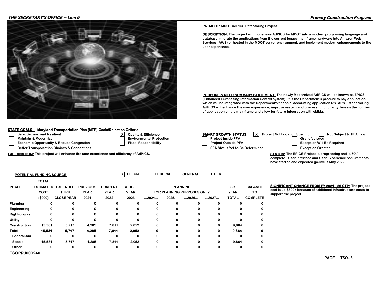

#### **STATE GOALS : Maryland Transportation Plan (MTP) Goals/Selection Criteria:**

- **Safe, Secure, and Resilient Case of Case Secure, And Subject Not Location Specific Notation Specific Notation Specific Not Location Specific Not Location Specific Not Location Specific Not Location Specific Note to PFA La**
- **Maintain & Modernize Environmental Protection Profession Profession Profession Profession Profession**

**TSOPRJ000240**

- **Economic Opportunity & Reduce Congestion Fiscal Responsibility**
- **Better Transportation Choices & Connections**

**EXPLANATION:** This project will enhance the user experience and efficiency of AdPICS. **STATUS:** The EPICS Project is progressing and is 50%

|  |  |  | <b>PROJECT: MDOT AdPICS Refactoring Project</b> |  |
|--|--|--|-------------------------------------------------|--|
|--|--|--|-------------------------------------------------|--|

**DESCRIPTION: The project will modernize AdPICS for MDOT into a modern programing language and database, migrate the applications from the current legacy mainframe hardware into Amazon Web Services (AWS) or hosted in the MDOT server environment, and implement modern enhancements to the user experience.**

**PURPOSE & NEED SUMMARY STATEMENT: The newly Modernized AdPICS will be known as EPICS (Enhanced Purchasing Information Control system). It is the Department's procure to pay application which will be integrated with the Department's financial accounting application RSTARS. Modernizing AdPICS will enhance the user experience, improve system and process functionality, lessen the number of application on the mainframe and allow for future integration with eMMa.**

| <b>SMART GROWTH STATUS:</b><br><b>X</b> Project Not Location Specific | Not Subject to PFA Law            |
|-----------------------------------------------------------------------|-----------------------------------|
| <b>Project Inside PFA</b>                                             | Grandfathered                     |
| <b>Project Outside PFA-</b>                                           | <b>Exception Will Be Required</b> |
| PFA Status Yet to Be Determined                                       | <b>Exception Granted</b>          |

**complete. User Interface and User Experience requirements have started and expected go-live is May 2022**

|              | <b>POTENTIAL FUNDING SOURCE:</b> |                   |                 |                | $\boldsymbol{\mathsf{x}}$<br><b>SPECIAL</b><br><b>FEDERAL</b><br><b>OTHER</b><br><b>GENERAL</b> |                      |                      |                                   |      |              |                 |  |
|--------------|----------------------------------|-------------------|-----------------|----------------|-------------------------------------------------------------------------------------------------|----------------------|----------------------|-----------------------------------|------|--------------|-----------------|--|
|              | <b>TOTAL</b>                     |                   |                 |                |                                                                                                 |                      |                      |                                   |      |              |                 |  |
| <b>PHASE</b> | <b>ESTIMATED</b>                 | <b>EXPENDED</b>   | <b>PREVIOUS</b> | <b>CURRENT</b> | <b>BUDGET</b>                                                                                   |                      |                      | <b>PLANNING</b>                   |      | <b>SIX</b>   | <b>BALANCE</b>  |  |
|              | <b>COST</b>                      | <b>THRU</b>       | <b>YEAR</b>     | <b>YEAR</b>    | <b>YEAR</b>                                                                                     |                      |                      | <b>FOR PLANNING PURPOSES ONLY</b> |      | <b>YEAR</b>  | TO              |  |
|              | (\$000)                          | <b>CLOSE YEAR</b> | 2021            | 2022           | 2023                                                                                            | $\dots$ 2024 $\dots$ | $\dots$ 2025 $\dots$ | $\dots$ 2026 $\dots$              | 2027 | <b>TOTAL</b> | <b>COMPLETE</b> |  |
| Planning     |                                  | 0                 | 0               |                |                                                                                                 | 0                    | 0                    | n                                 | 0    |              | 0               |  |
| Engineering  | 0                                | 0                 | 0               |                | 0                                                                                               | 0                    | 0                    | 0                                 | 0    |              | 0               |  |
| Right-of-way | 0                                | 0                 | 0               |                | 0                                                                                               | 0                    | 0                    | 0                                 | 0    |              | 0               |  |
| Utility      | o                                | $\Omega$          | $\Omega$        | ŋ              | O                                                                                               | 0                    | $\Omega$             | O                                 | 0    | <sub>0</sub> | 0               |  |
| Construction | 15,581                           | 5,717             | 4,285           | 7,811          | 2,052                                                                                           | 0                    | 0                    | 0                                 | 0    | 9,864        | 0               |  |
| <b>Total</b> | 15,581                           | 5,717             | 4,285           | 7,811          | 2,052                                                                                           | 0                    | 0                    | 0                                 | 0    | 9,864        | 0               |  |
| Federal-Aid  | 0                                | 0                 | 0               | 0              | 0                                                                                               | 0                    | 0                    | 0                                 | 0    | 0            | 0               |  |
| Special      | 15,581                           | 5,717             | 4,285           | 7,811          | 2,052                                                                                           | 0                    | 0                    | 0                                 | 0    | 9,864        | 0               |  |
| Other        | 0                                | 0                 | 0               |                | 0                                                                                               | 0                    | 0                    |                                   | 0    | 0            | 0               |  |

**X**

**BIGNIFICANT CHANGE FROM FY 2021 - 26 CTP: The project cost is up \$300k because of additional infrastructure costs to**   $Support the project.$ 

**PAGE TSO--5**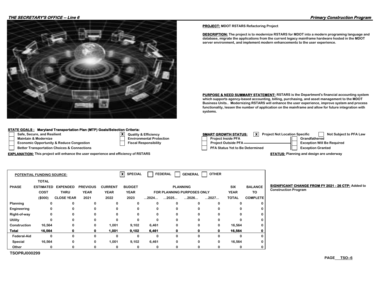#### **THE SECRETARY'S OFFICE -- Line 6 Primary Construction Program**



#### **STATE GOALS : Maryland Transportation Plan (MTP) Goals/Selection Crit**

- 
- 
- **Maintain & Modernize Grandfatherism Environmental Properties Conduct Institute Properties Conduct Institute P**<br>Protection Protection Project Institute Project Institute Properties Properties Project Institute Project Inst **Economic Opportunity & Reduce Congestion**
- **Better Transportation Choices & Connections**

**EXPLANATION:** This project will enhance the user experience and efficiency of RSTARS **STATUS: Planning and design are underway** 

| teria:                  |  |
|-------------------------|--|
| uality & Efficiency     |  |
| nvironmental Protection |  |
| ecal Roenoneihility     |  |

**PROJECT: MDOT RSTARS Refactoring Project**

**DESCRIPTION: The project is to modernize RSTARS for MDOT into a modern programing language and database, migrate the applications from the current legacy mainframe hardware hosted in the MDOT server environment, and implement modern enhancements to the user experience.**

**PURPOSE & NEED SUMMARY STATEMENT: RSTARS is the Department's financial accounting system which supports agency-based accounting, billing, purchasing, and asset management to the MDOT Business Units.. Modernizing RSTARS will enhance the user experience, improve system and process functionality, lessen the number of application on the mainframe and allow for future integration with systems.** 

| Safe, Secure, and Resilient                            | $\bullet$ | <b>Quality &amp; Efficiency</b> | <b>SMART GROWTH STATUS:</b>            | -x l | <b>Project Not Location Specific</b> | Not Subject to PFA Law            |
|--------------------------------------------------------|-----------|---------------------------------|----------------------------------------|------|--------------------------------------|-----------------------------------|
| Maintain & Modernize                                   |           | <b>Environmental Protection</b> | <b>Project Inside PFA</b>              |      |                                      | Grandfathered                     |
| <b>Economic Opportunity &amp; Reduce Congestion</b>    |           | <b>Fiscal Responsibility</b>    | <b>Project Outside PFA</b>             |      |                                      | <b>Exception Will Be Required</b> |
| <b>Better Transportation Choices &amp; Connections</b> |           |                                 | <b>PFA Status Yet to Be Determined</b> |      |                                      | <b>Exception Granted</b>          |

**Construction Program**

**BIGNIFICANT CHANGE FROM FY 2021 - 26 CTP: Added to** 

|                    | <b>POTENTIAL FUNDING SOURCE:</b> |                   |                 |                | $\boldsymbol{\mathsf{x}}$<br><b>SPECIAL</b> |                      | <b>FEDERAL</b>       | <b>GENERAL</b>                    | <b>OTHER</b> |              |                 |
|--------------------|----------------------------------|-------------------|-----------------|----------------|---------------------------------------------|----------------------|----------------------|-----------------------------------|--------------|--------------|-----------------|
|                    | <b>TOTAL</b>                     |                   |                 |                |                                             |                      |                      |                                   |              |              |                 |
| <b>PHASE</b>       | <b>ESTIMATED</b>                 | <b>EXPENDED</b>   | <b>PREVIOUS</b> | <b>CURRENT</b> | <b>BUDGET</b>                               |                      |                      | <b>PLANNING</b>                   |              | <b>SIX</b>   | <b>BALANCE</b>  |
|                    | <b>COST</b>                      | <b>THRU</b>       | <b>YEAR</b>     | <b>YEAR</b>    | <b>YEAR</b>                                 |                      |                      | <b>FOR PLANNING PURPOSES ONLY</b> |              | <b>YEAR</b>  | TO              |
|                    | (\$000)                          | <b>CLOSE YEAR</b> | 2021            | 2022           | 2023                                        | $\dots$ 2024 $\dots$ | $\dots$ 2025 $\dots$ | $\dots$ 2026 $\dots$              | 2027         | <b>TOTAL</b> | <b>COMPLETE</b> |
| Planning           | 0                                | 0                 | 0               | 0              | 0                                           | $\Omega$             | 0                    | $\Omega$                          | $\Omega$     | $\Omega$     | 0               |
| Engineering        | 0                                | 0                 | 0               | 0              | 0                                           | 0                    | 0                    | 0                                 | 0            | 0            | 0               |
| Right-of-way       | 0                                | 0                 | $\Omega$        | 0              |                                             | 0                    |                      | 0                                 | 0            | 0            | 0               |
| Utility            | 0                                | $\Omega$          | $\Omega$        | $\Omega$       | $\Omega$                                    | $\Omega$             | 0                    | $\Omega$                          | $\Omega$     | $\Omega$     | 0               |
| Construction       | 16,564                           | 0                 | 0               | 1,001          | 9,102                                       | 6,461                | 0                    | 0                                 | 0            | 16,564       | 0               |
| <b>Total</b>       | 16,564                           | 0                 | 0               | 1,001          | 9,102                                       | 6,461                | 0                    | 0                                 | 0            | 16,564       | 0               |
| <b>Federal-Aid</b> | 0                                | 0                 | $\Omega$        | 0              | $\Omega$                                    | 0                    | 0                    | $\Omega$                          | $\Omega$     | 0            | 0               |
| Special            | 16,564                           | 0                 | 0               | 1,001          | 9,102                                       | 6,461                | 0                    | 0                                 | 0            | 16,564       | 0               |
| Other              | 0                                | 0                 | 0               | 0              | 0                                           | 0                    |                      | 0                                 | 0            | 0            | 0               |

**TSOPRJ000299**

**PAGE TSO--6**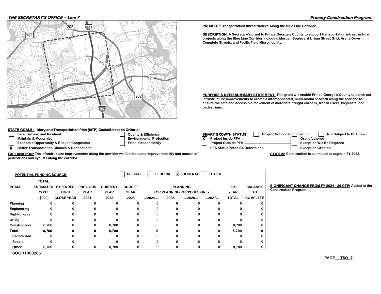#### **THE SECRETARY'S OFFICE -- Line 7 Primary Construction Program**



#### **STATE GOALS : Maryland Transportation Plan (MTP) Goals/Selection Criteria:**

- 
- 
- **Economic Opportunity & Reduce Congestion Fiscal Responsibility**
- 

Safe, Secure, and Resilient **SAFE ART ART SECURE ART SECURE ART SECURE ART SECURE ART SECURE ART SECURE ART SECURE ART SECURE ART SECURE ART SECURE ART SECURE ART SECURE ART SECURE ART SECURE ART SECURE ART SECURE ART SECU Maintain & Modernize Environmental Protection X Project Inside PFA Grandfathered X** Better Transportation Choices & Connections **PRA Status Yet to Be Determined** Exception Granted **PRA Status Yet to Be Determined Exception Will Be Required** 

**STATUS: Construction is estimated to begin in FY 2022.**

| <b>EXPLANATION:</b> The infrastructure improvements along the corridor will facilitate and improve mobility and access of |  |
|---------------------------------------------------------------------------------------------------------------------------|--|
| pedestrians and cyclists along the corridor.                                                                              |  |

| xl<br><b>SPECIAL</b><br><b>FEDERAL</b><br><b>OTHER</b><br><b>GENERAL</b><br><b>POTENTIAL FUNDING SOURCE:</b> |                  |                   |                 |                |               |                      |                      |                                   |      |              |                 |
|--------------------------------------------------------------------------------------------------------------|------------------|-------------------|-----------------|----------------|---------------|----------------------|----------------------|-----------------------------------|------|--------------|-----------------|
|                                                                                                              | <b>TOTAL</b>     |                   |                 |                |               |                      |                      |                                   |      |              |                 |
| <b>PHASE</b>                                                                                                 | <b>ESTIMATED</b> | <b>EXPENDED</b>   | <b>PREVIOUS</b> | <b>CURRENT</b> | <b>BUDGET</b> |                      |                      | <b>PLANNING</b>                   |      | <b>SIX</b>   | <b>BALANCE</b>  |
|                                                                                                              | <b>COST</b>      | <b>THRU</b>       | <b>YEAR</b>     | <b>YEAR</b>    | <b>YEAR</b>   |                      |                      | <b>FOR PLANNING PURPOSES ONLY</b> |      | <b>YEAR</b>  | TO              |
|                                                                                                              | (\$000)          | <b>CLOSE YEAR</b> | 2021            | 2022           | 2023          | $\dots$ 2024 $\dots$ | $\dots$ 2025 $\dots$ | 2026                              | 2027 | <b>TOTAL</b> | <b>COMPLETE</b> |
| Planning                                                                                                     | $\Omega$         | 0                 | o               |                | $\Omega$      | $\Omega$             | 0                    |                                   |      | 0            |                 |
| Engineering                                                                                                  | 0                | 0                 | 0               |                | 0             | 0                    | 0                    |                                   |      | 0            |                 |
| Right-of-way                                                                                                 | 0                | 0                 | 0               | Û              | $\Omega$      | $\Omega$             | $\Omega$             |                                   |      | 0            |                 |
| Utility                                                                                                      | $\Omega$         | 0                 | $\Omega$        | O              | $\Omega$      | $\Omega$             | 0                    | <sup>0</sup>                      |      | 0            |                 |
| Construction                                                                                                 | 8,700            | 0                 | 0               | 8,700          | 0             | 0                    | 0                    |                                   |      | 8,700        |                 |
| <b>Total</b>                                                                                                 | 8,700            | Ω                 | o               | 8,700          | o             | 0                    | 0                    |                                   |      | 8,700        |                 |
| <b>Federal-Aid</b>                                                                                           | 0                | 0                 | 0               | ŋ              | $\Omega$      | 0                    | $\Omega$             |                                   |      | ŋ            |                 |
| Special                                                                                                      | 0                | 0                 |                 |                | $\Omega$      | $\Omega$             | $\Omega$             |                                   |      | o            |                 |
| Other                                                                                                        | 8,700            | 0                 | 0               | 8,700          | 0             | 0                    | 0                    |                                   |      | 8,700        |                 |

**TSOGRT000285**

**PROJECT: Transportation Infrastructure Along the Blue Line Corridor**

**pedestrians.** 

**DESCRIPTION: A Secretary's grant to Prince George's County to support transportation infrastructure projects along the Blue Line Corridor including Morgan Boulevard Urban Street Grid, Arena Drive Complete Streets, and FedEx Field Micromobility.** 

**PURPOSE & NEED SUMMARY STATEMENT: This grant will enable Prince George's County to construct infrastructure improvements to create a interconnected, multi-modal network along the corridor to ensure the safe and accessible movement of motorists, freight carriers, transit users, bicyclists, and** 

**BIGNIFICANT CHANGE FROM FY 2021 - 26 CTP: Added to the Construction Program.**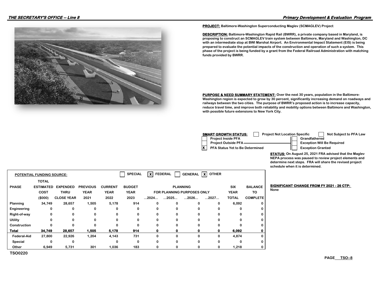

**PROJECT: Baltimore-Washington Superconducting Maglev (SCMAGLEV) Project**

**DESCRIPTION: Baltimore-Washington Rapid Rail (BWRR), a private company based in Maryland, is proposing to construct an SCMAGLEV train system between Baltimore, Maryland and Washington, DC with an intermediate stop at BWI Marshal Airport. An Environmental Impact Statement (EIS) is being prepared to evaluate the potential impacts of the construction and operation of such a system. This phase of the project is being funded by a grant from the Federal Railroad Administration with matching funds provided by BWRR.**

**PURPOSE & NEED SUMMARY STATEMENT:** Over the next 30 years, population in the Baltimore-**Washington region is expected to grow by 30 percent, significantly increasing demand on roadways and railways between the two cities. The purpose of BWRR's proposed action is to increase capacity, reduce travel time, and improve both reliability and mobility options between Baltimore and Washington, with possible future extensions to New York City.**

| <b>SMART GROWTH STATUS:</b><br><b>Project Not Location Specific</b> | Not Subject to PFA Law            |
|---------------------------------------------------------------------|-----------------------------------|
| <b>Project Inside PFA</b>                                           | Grandfathered                     |
| <b>Project Outside PFA-</b>                                         | <b>Exception Will Be Required</b> |
| <b>PFA Status Yet to Be Determined</b>                              | <b>Exception Granted</b>          |

**STATUS: On August 25, 2021 FRA advised that the Maglev NEPA process was paused to review project elements and determine next steps. FRA will share the revised project schedule when it is determined.**

| <b>POTENTIAL FUNDING SOURCE:</b> |                  |                   |                 |                | <b>SPECIAL</b> | -x l | <b>FEDERAL</b> | <b>GENERAL</b>                    | $\boldsymbol{\mathsf{x}}$<br><b>OTHER</b> |              |                 |
|----------------------------------|------------------|-------------------|-----------------|----------------|----------------|------|----------------|-----------------------------------|-------------------------------------------|--------------|-----------------|
|                                  | <b>TOTAL</b>     |                   |                 |                |                |      |                |                                   |                                           |              |                 |
| <b>PHASE</b>                     | <b>ESTIMATED</b> | <b>EXPENDED</b>   | <b>PREVIOUS</b> | <b>CURRENT</b> | <b>BUDGET</b>  |      |                | <b>PLANNING</b>                   |                                           | <b>SIX</b>   | <b>BALANCE</b>  |
|                                  | COST             | <b>THRU</b>       | <b>YEAR</b>     | <b>YEAR</b>    | <b>YEAR</b>    |      |                | <b>FOR PLANNING PURPOSES ONLY</b> |                                           | <b>YEAR</b>  | TO              |
|                                  | (\$000)          | <b>CLOSE YEAR</b> | 2021            | 2022           | 2023           | 2024 | 2025           | 2026                              | 2027                                      | <b>TOTAL</b> | <b>COMPLETE</b> |
| Planning                         | 34,749           | 28,657            | 1,505           | 5,178          | 914            | 0    | $\Omega$       | 0                                 | 0                                         | 6,092        | 0               |
| Engineering                      | 0                | 0                 |                 | 0              | 0              | 0    |                | 0                                 | o                                         | 0            |                 |
| Right-of-way                     | 0                | 0                 | 0               | 0              | 0              | 0    | $\Omega$       | $\Omega$                          | U                                         | 0            | 0               |
| Utility                          | 0                | 0                 |                 | 0              | 0              | 0    | 0              | 0                                 | 0                                         | 0            |                 |
| Construction                     | 0                | $\Omega$          | O               | $\Omega$       | O              | 0    |                | $\Omega$                          | o                                         | 0            |                 |
| <b>Total</b>                     | 34,749           | 28,657            | 1,505           | 5,178          | 914            | 0    | 0              | 0                                 | o                                         | 6,092        | 0               |
| <b>Federal-Aid</b>               | 27,800           | 22,926            | 1,204           | 4,143          | 731            | 0    | Û              | 0                                 | 0                                         | 4,874        | 0               |
| Special                          | 0                | 0                 |                 | 0              | 0              | 0    | 0              | $\Omega$                          | 0                                         | 0            | 0               |
| Other                            | 6,949            | 5,731             | 301             | 1,036          | 183            | 0    |                | 0                                 | 0                                         | 1,218        |                 |

**BIGNIFICANT CHANGE FROM FY 2021 - 26 CTP: None**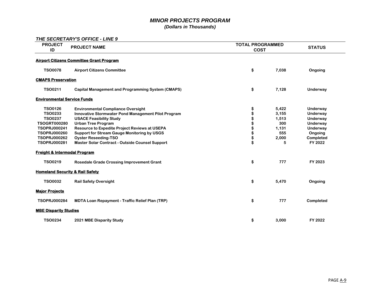## *MINOR PROJECTS PROGRAM*

*(Dollars in Thousands)* 

### *THE SECRETARY'S OFFICE - LINE 9*

| <b>PROJECT</b><br>ID                                                                                                                                                                                                               | <b>PROJECT NAME</b>                                                                                                                                                                                                                                                                                                                                                                                          | <b>TOTAL PROGRAMMED</b><br><b>COST</b>             | <b>STATUS</b>                                                       |                                                                                                        |  |  |  |  |
|------------------------------------------------------------------------------------------------------------------------------------------------------------------------------------------------------------------------------------|--------------------------------------------------------------------------------------------------------------------------------------------------------------------------------------------------------------------------------------------------------------------------------------------------------------------------------------------------------------------------------------------------------------|----------------------------------------------------|---------------------------------------------------------------------|--------------------------------------------------------------------------------------------------------|--|--|--|--|
| <b>Airport Citizens Committee Grant Program</b>                                                                                                                                                                                    |                                                                                                                                                                                                                                                                                                                                                                                                              |                                                    |                                                                     |                                                                                                        |  |  |  |  |
| <b>TSO0078</b>                                                                                                                                                                                                                     | <b>Airport Citizens Committee</b>                                                                                                                                                                                                                                                                                                                                                                            | \$                                                 | 7,038                                                               | Ongoing                                                                                                |  |  |  |  |
| <b>CMAPS Preservation</b>                                                                                                                                                                                                          |                                                                                                                                                                                                                                                                                                                                                                                                              |                                                    |                                                                     |                                                                                                        |  |  |  |  |
| <b>TSO0211</b>                                                                                                                                                                                                                     | <b>Capital Management and Programming System (CMAPS)</b>                                                                                                                                                                                                                                                                                                                                                     | \$                                                 | 7,128                                                               | Underway                                                                                               |  |  |  |  |
| <b>Environmental Service Funds</b>                                                                                                                                                                                                 |                                                                                                                                                                                                                                                                                                                                                                                                              |                                                    |                                                                     |                                                                                                        |  |  |  |  |
| <b>TSO0126</b><br><b>TSO0233</b><br><b>TSO0237</b><br><b>TSOGRT000280</b><br><b>TSOPRJ000241</b><br><b>TSOPRJ000260</b><br><b>TSOPRJ000262</b><br><b>TSOPRJ000281</b><br><b>Freight &amp; Intermodal Program</b><br><b>TSO0219</b> | <b>Environmental Compliance Oversight</b><br>Innovative Stormwater Pond Management Pilot Program<br><b>USACE Feasibility Study</b><br><b>Urban Tree Program</b><br>Resource to Expedite Project Reviews at USEPA<br><b>Support for Stream Gauge Monitoring by USGS</b><br><b>Oyster Reseeding-TSO</b><br>Master Solar Contract - Outside Counsel Support<br><b>Rosedale Grade Crossing Improvement Grant</b> | \$<br>\$<br>\$<br>\$<br>\$<br>\$<br>\$<br>\$<br>\$ | 5,422<br>3,155<br>1,513<br>300<br>1,131<br>555<br>2,000<br>5<br>777 | Underway<br>Underway<br>Underway<br>Underway<br>Underway<br>Ongoing<br>Completed<br>FY 2022<br>FY 2023 |  |  |  |  |
| <b>Homeland Security &amp; Rail Safety</b>                                                                                                                                                                                         |                                                                                                                                                                                                                                                                                                                                                                                                              |                                                    |                                                                     |                                                                                                        |  |  |  |  |
| <b>TSO0032</b>                                                                                                                                                                                                                     | <b>Rail Safety Oversight</b>                                                                                                                                                                                                                                                                                                                                                                                 | \$                                                 | 5,470                                                               | Ongoing                                                                                                |  |  |  |  |
| <b>Major Projects</b>                                                                                                                                                                                                              |                                                                                                                                                                                                                                                                                                                                                                                                              |                                                    |                                                                     |                                                                                                        |  |  |  |  |
| <b>TSOPRJ000284</b>                                                                                                                                                                                                                | <b>MDTA Loan Repayment - Traffic Relief Plan (TRP)</b>                                                                                                                                                                                                                                                                                                                                                       | \$                                                 | 777                                                                 | Completed                                                                                              |  |  |  |  |
| <b>MBE Disparity Studies</b>                                                                                                                                                                                                       |                                                                                                                                                                                                                                                                                                                                                                                                              |                                                    |                                                                     |                                                                                                        |  |  |  |  |
| <b>TSO0234</b>                                                                                                                                                                                                                     | 2021 MBE Disparity Study                                                                                                                                                                                                                                                                                                                                                                                     | \$                                                 | 3,000                                                               | FY 2022                                                                                                |  |  |  |  |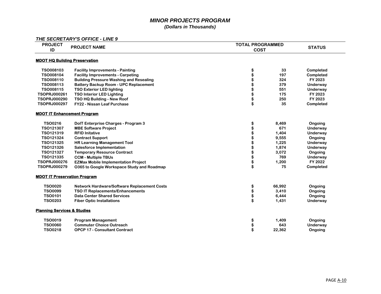# *MINOR PROJECTS PROGRAM*

*(Dollars in Thousands)* 

*THE SECRETARY'S OFFICE - LINE 9*

| <b>PROJECT</b>                         |                                                | <b>TOTAL PROGRAMMED</b> |                 |  |  |
|----------------------------------------|------------------------------------------------|-------------------------|-----------------|--|--|
| ID                                     | <b>PROJECT NAME</b>                            | <b>COST</b>             |                 |  |  |
|                                        |                                                |                         |                 |  |  |
| <b>MDOT HQ Building Preservation</b>   |                                                |                         |                 |  |  |
| TSO008103                              | <b>Facility Improvements - Painting</b>        | \$<br>33                | Completed       |  |  |
| TSO008104                              | <b>Facility Improvements - Carpeting</b>       | \$<br>197               | Completed       |  |  |
| TSO008110                              | <b>Building Pressure Washing and Resealing</b> | 324                     | FY 2023         |  |  |
| TSO008113                              | <b>Battery Backup Room - UPC Replacement</b>   | 379                     | Underway        |  |  |
| TSO008115                              | <b>TSO Exterior LED lighting</b>               | 551                     | Underway        |  |  |
| <b>TSOPRJ000261</b>                    | <b>TSO Interior LED Lighting</b>               | \$<br>175               | FY 2023         |  |  |
| <b>TSOPRJ000290</b>                    | <b>TSO HQ Building - New Roof</b>              | 250                     | FY 2023         |  |  |
| <b>TSOPRJ000297</b>                    | FY22 - Nissan Leaf Purchase                    | \$<br>35                | Completed       |  |  |
| <b>MDOT IT Enhancement Program</b>     |                                                |                         |                 |  |  |
| <b>TSO0216</b>                         | DolT Enterprise Charges - Program 3            | \$<br>8,469             | Ongoing         |  |  |
| TSO121307                              | <b>MBE Software Project</b>                    | \$<br>671               | <b>Underway</b> |  |  |
| TSO121319                              | <b>RFID Initative</b>                          | 1,404                   | Underway        |  |  |
| TSO121324                              | <b>Contract Support</b>                        | 9,555                   | Ongoing         |  |  |
| TSO121325                              | <b>HR Learning Management Tool</b>             | 1,225                   | Underway        |  |  |
| TSO121326                              | <b>Salesforce Implementation</b>               | 1,874                   | Underway        |  |  |
| TSO121327                              | <b>Temporary Resource Contract</b>             | 3,072                   | Ongoing         |  |  |
| TSO121335                              | <b>CCM - Multiple TBUs</b>                     | 769                     | Underway        |  |  |
| <b>TSOPRJ000276</b>                    | <b>EZMax Mobile Implementation Project</b>     | \$<br>1,200             | FY 2022         |  |  |
| <b>TSOPRJ000279</b>                    | 0365 to Google Workspace Study and Roadmap     | \$<br>75                | Completed       |  |  |
| <b>MDOT IT Preservation Program</b>    |                                                |                         |                 |  |  |
| <b>TSO0020</b>                         | Network Hardware/Software Replacement Costs    | \$<br>66,992            | Ongoing         |  |  |
| <b>TSO0099</b>                         | <b>TSO IT Replacements/Enhancements</b>        | \$<br>3,410             | Ongoing         |  |  |
| <b>TSO0101</b>                         | <b>Data Center Shared Services</b>             | \$<br>6,444             | Ongoing         |  |  |
| <b>TSO0203</b>                         | <b>Fiber Optic Installations</b>               | \$<br>1,431             | Underway        |  |  |
| <b>Planning Services &amp; Studies</b> |                                                |                         |                 |  |  |
| <b>TSO0019</b>                         | <b>Program Management</b>                      | \$<br>1,409             | Ongoing         |  |  |
| <b>TSO0060</b>                         | <b>Commuter Choice Outreach</b>                | \$<br>643               | Underway        |  |  |
| <b>TSO0218</b>                         | <b>OPCP 17 - Consultant Contract</b>           | 22.362                  | Ongoing         |  |  |